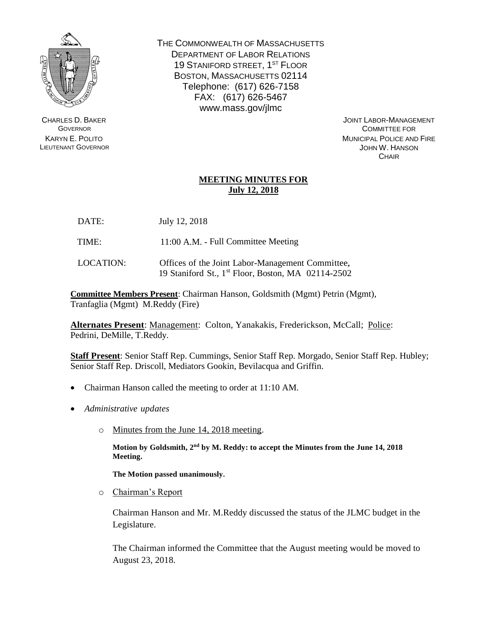

CHARLES D. BAKER **GOVERNOR** KARYN E. POLITO LIEUTENANT GOVERNOR THE COMMONWEALTH OF MASSACHUSETTS DEPARTMENT OF LABOR RELATIONS 19 STANIFORD STREET, 1<sup>ST</sup> FLOOR BOSTON, MASSACHUSETTS 02114 Telephone: (617) 626-7158 FAX: (617) 626-5467 www.mass.gov/jlmc

> JOINT LABOR-MANAGEMENT COMMITTEE FOR MUNICIPAL POLICE AND FIRE JOHN W. HANSON **CHAIR**

## **MEETING MINUTES FOR July 12, 2018**

- DATE: July 12, 2018
- TIME: 11:00 A.M. Full Committee Meeting
- LOCATION: Offices of the Joint Labor-Management Committee, 19 Staniford St., 1 st Floor, Boston, MA 02114-2502

**Committee Members Present**: Chairman Hanson, Goldsmith (Mgmt) Petrin (Mgmt), Tranfaglia (Mgmt) M.Reddy (Fire)

**Alternates Present**: Management: Colton, Yanakakis, Frederickson, McCall; Police: Pedrini, DeMille, T.Reddy.

**Staff Present**: Senior Staff Rep. Cummings, Senior Staff Rep. Morgado, Senior Staff Rep. Hubley; Senior Staff Rep. Driscoll, Mediators Gookin, Bevilacqua and Griffin.

- Chairman Hanson called the meeting to order at 11:10 AM.
- *Administrative updates*
	- o Minutes from the June 14, 2018 meeting.

**Motion by Goldsmith, 2 nd by M. Reddy: to accept the Minutes from the June 14, 2018 Meeting.** 

**The Motion passed unanimously.**

o Chairman's Report

Chairman Hanson and Mr. M.Reddy discussed the status of the JLMC budget in the Legislature.

The Chairman informed the Committee that the August meeting would be moved to August 23, 2018.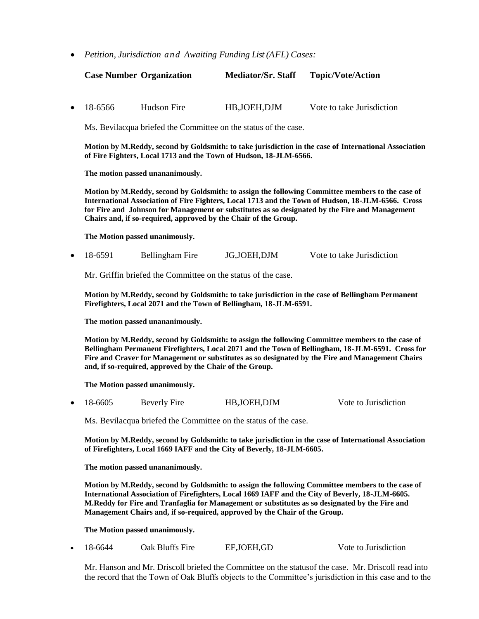*Petition, Jurisdiction and Awaiting Funding List (AFL) Cases:*

## **Case Number Organization Mediator/Sr. Staff Topic/Vote/Action**

18-6566 Hudson Fire HB,JOEH,DJM Vote to take Jurisdiction

Ms. Bevilacqua briefed the Committee on the status of the case.

**Motion by M.Reddy, second by Goldsmith: to take jurisdiction in the case of International Association of Fire Fighters, Local 1713 and the Town of Hudson, 18-JLM-6566.** 

**The motion passed unananimously.** 

**Motion by M.Reddy, second by Goldsmith: to assign the following Committee members to the case of International Association of Fire Fighters, Local 1713 and the Town of Hudson, 18-JLM-6566. Cross for Fire and Johnson for Management or substitutes as so designated by the Fire and Management Chairs and, if so-required, approved by the Chair of the Group.** 

**The Motion passed unanimously.**

18-6591 Bellingham Fire JG,JOEH,DJM Vote to take Jurisdiction

Mr. Griffin briefed the Committee on the status of the case.

**Motion by M.Reddy, second by Goldsmith: to take jurisdiction in the case of Bellingham Permanent Firefighters, Local 2071 and the Town of Bellingham, 18-JLM-6591.**

**The motion passed unananimously.** 

**Motion by M.Reddy, second by Goldsmith: to assign the following Committee members to the case of Bellingham Permanent Firefighters, Local 2071 and the Town of Bellingham, 18-JLM-6591. Cross for Fire and Craver for Management or substitutes as so designated by the Fire and Management Chairs and, if so-required, approved by the Chair of the Group.**

**The Motion passed unanimously.**

18-6605 Beverly Fire HB,JOEH,DJM Vote to Jurisdiction

Ms. Bevilacqua briefed the Committee on the status of the case.

**Motion by M.Reddy, second by Goldsmith: to take jurisdiction in the case of International Association of Firefighters, Local 1669 IAFF and the City of Beverly, 18-JLM-6605.**

**The motion passed unananimously.** 

**Motion by M.Reddy, second by Goldsmith: to assign the following Committee members to the case of International Association of Firefighters, Local 1669 IAFF and the City of Beverly, 18-JLM-6605. M.Reddy for Fire and Tranfaglia for Management or substitutes as so designated by the Fire and Management Chairs and, if so-required, approved by the Chair of the Group.**

**The Motion passed unanimously.**

18-6644 Oak Bluffs Fire EF,JOEH,GD Vote to Jurisdiction

Mr. Hanson and Mr. Driscoll briefed the Committee on the statusof the case. Mr. Driscoll read into the record that the Town of Oak Bluffs objects to the Committee's jurisdiction in this case and to the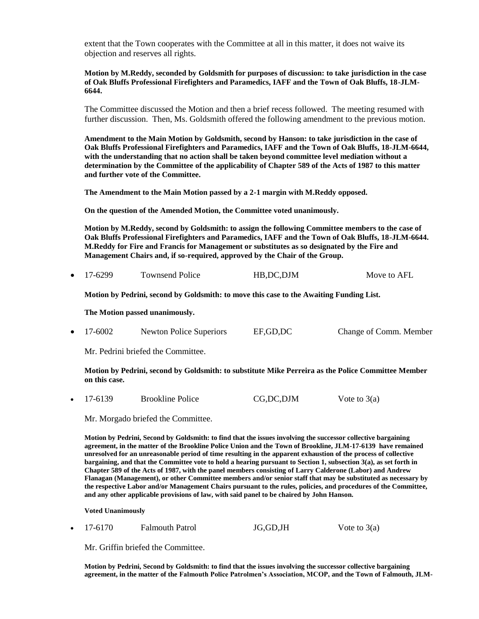extent that the Town cooperates with the Committee at all in this matter, it does not waive its objection and reserves all rights.

**Motion by M.Reddy, seconded by Goldsmith for purposes of discussion: to take jurisdiction in the case of Oak Bluffs Professional Firefighters and Paramedics, IAFF and the Town of Oak Bluffs, 18-JLM-6644.**

The Committee discussed the Motion and then a brief recess followed. The meeting resumed with further discussion. Then, Ms. Goldsmith offered the following amendment to the previous motion.

**Amendment to the Main Motion by Goldsmith, second by Hanson: to take jurisdiction in the case of Oak Bluffs Professional Firefighters and Paramedics, IAFF and the Town of Oak Bluffs, 18-JLM-6644, with the understanding that no action shall be taken beyond committee level mediation without a determination by the Committee of the applicability of Chapter 589 of the Acts of 1987 to this matter and further vote of the Committee.**

**The Amendment to the Main Motion passed by a 2-1 margin with M.Reddy opposed.**

**On the question of the Amended Motion, the Committee voted unanimously.**

**Motion by M.Reddy, second by Goldsmith: to assign the following Committee members to the case of Oak Bluffs Professional Firefighters and Paramedics, IAFF and the Town of Oak Bluffs, 18-JLM-6644. M.Reddy for Fire and Francis for Management or substitutes as so designated by the Fire and Management Chairs and, if so-required, approved by the Chair of the Group.**

17-6299 Townsend Police HB,DC,DJM Move to AFL

**Motion by Pedrini, second by Goldsmith: to move this case to the Awaiting Funding List.**

**The Motion passed unanimously.**

17-6002 Newton Police Superiors EF,GD,DC Change of Comm. Member

Mr. Pedrini briefed the Committee.

**Motion by Pedrini, second by Goldsmith: to substitute Mike Perreira as the Police Committee Member on this case.** 

17-6139 Brookline Police CG,DC,DJM Vote to 3(a)

Mr. Morgado briefed the Committee.

**Motion by Pedrini, Second by Goldsmith: to find that the issues involving the successor collective bargaining agreement, in the matter of the Brookline Police Union and the Town of Brookline, JLM-17-6139 have remained unresolved for an unreasonable period of time resulting in the apparent exhaustion of the process of collective bargaining, and that the Committee vote to hold a hearing pursuant to Section 1, subsection 3(a), as set forth in Chapter 589 of the Acts of 1987, with the panel members consisting of Larry Calderone (Labor) and Andrew Flanagan (Management), or other Committee members and/or senior staff that may be substituted as necessary by the respective Labor and/or Management Chairs pursuant to the rules, policies, and procedures of the Committee, and any other applicable provisions of law, with said panel to be chaired by John Hanson.**

**Voted Unanimously**

17-6170 Falmouth Patrol JG,GD,JH Vote to 3(a)

Mr. Griffin briefed the Committee.

**Motion by Pedrini, Second by Goldsmith: to find that the issues involving the successor collective bargaining agreement, in the matter of the Falmouth Police Patrolmen's Association, MCOP, and the Town of Falmouth, JLM-**